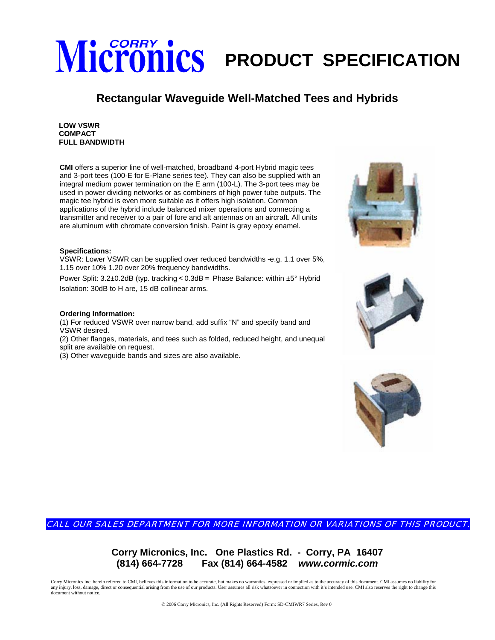## **Micronics** PRODUCT SPECIFICATION

### **Rectangular Waveguide Well-Matched Tees and Hybrids**

**LOW VSWR COMPACT FULL BANDWIDTH**

**CMI** offers a superior line of well-matched, broadband 4-port Hybrid magic tees and 3-port tees (100-E for E-Plane series tee). They can also be supplied with an integral medium power termination on the E arm (100-L). The 3-port tees may be used in power dividing networks or as combiners of high power tube outputs. The magic tee hybrid is even more suitable as it offers high isolation. Common applications of the hybrid include balanced mixer operations and connecting a transmitter and receiver to a pair of fore and aft antennas on an aircraft. All units are aluminum with chromate conversion finish. Paint is gray epoxy enamel.

### **Specifications:**

VSWR: Lower VSWR can be supplied over reduced bandwidths -e.g. 1.1 over 5%, 1.15 over 10% 1.20 over 20% frequency bandwidths.

Power Split: 3.2±0.2dB (typ. tracking < 0.3dB = Phase Balance: within ±5° Hybrid Isolation: 30dB to H are, 15 dB collinear arms.

#### **Ordering Information:**

(1) For reduced VSWR over narrow band, add suffix "N" and specify band and VSWR desired.

(2) Other flanges, materials, and tees such as folded, reduced height, and unequal split are available on request.

(3) Other waveguide bands and sizes are also available.







CALL OUR SALES DEPARTMENT FOR MORE INFORMATION OR VARIATIONS OF THIS PRODUCT.

**Corry Micronics, Inc. One Plastics Rd. - Corry, PA 16407 (814) 664-7728 Fax (814) 664-4582** *www.cormic.com*

Corry Micronics Inc. herein referred to CMI, believes this information to be accurate, but makes no warranties, expressed or implied as to the accuracy of this document. CMI assumes no liability for any injury, loss, damage, direct or consequential arising from the use of our products. User assumes all risk whatsoever in connection with it's intended use. CMI also reserves the right to change this document without notice.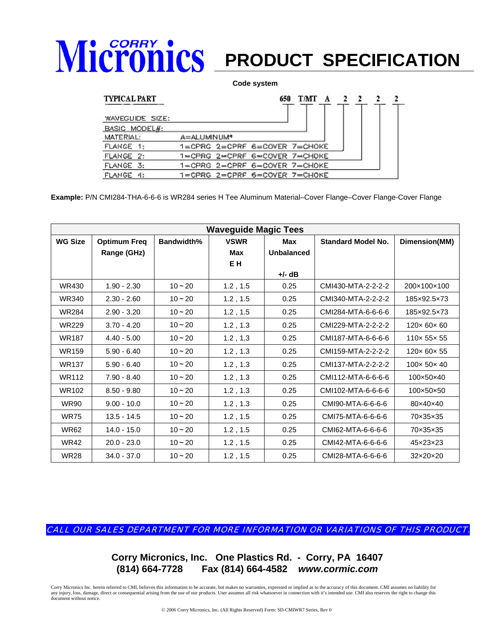## **Micronics** PRODUCT SPECIFICATION

### **Code system**

### **TYPICAL PART**

| <b>TYPICAL PART</b> | 650<br>TMT<br>A<br>2<br>$\mathbb{Z}$<br>2 |
|---------------------|-------------------------------------------|
| WAVEGUIDE SIZE:     |                                           |
| BASIC MODEL#:       |                                           |
| MATERIAL:           | A=ALUMINUM*                               |
| FLANCE 1:           | $1 =$ CPRG $2 =$ CPRF 6=COVER 7=CHOKE     |
| FLANGE 2:           | 1=CPRG 2=CPRF 6=COVER 7=CHOKE             |
| FLANGE 3:           | 1-CPRG 2-CPRF 6-COVER 7-CHOKE             |
| FLAMGE 4:           | 1=CPRG 2=CPRF 6=COVER 7=CHOKE             |

**Example:** P/N CMI284-THA-6-6-6 is WR284 series H Tee Aluminum Material–Cover Flange–Cover Flange-Cover Flange

| <b>Waveguide Magic Tees</b> |                                    |                   |                                      |                          |                           |                           |  |  |
|-----------------------------|------------------------------------|-------------------|--------------------------------------|--------------------------|---------------------------|---------------------------|--|--|
| <b>WG Size</b>              | <b>Optimum Freq</b><br>Range (GHz) | <b>Bandwidth%</b> | <b>VSWR</b><br>Max<br>E <sub>H</sub> | Max<br><b>Unbalanced</b> | <b>Standard Model No.</b> | Dimension(MM)             |  |  |
|                             |                                    |                   |                                      | +/- dB                   |                           |                           |  |  |
| WR430                       | $1.90 - 2.30$                      | $10 - 20$         | 1.2, 1.5                             | 0.25                     | CMI430-MTA-2-2-2-2        | 200×100×100               |  |  |
| <b>WR340</b>                | $2.30 - 2.60$                      | $10 - 20$         | 1.2, 1.5                             | 0.25                     | CMI340-MTA-2-2-2-2        | 185×92.5×73               |  |  |
| <b>WR284</b>                | $2.90 - 3.20$                      | $10 - 20$         | 1.2, 1.5                             | 0.25                     | CMI284-MTA-6-6-6-6        | 185×92.5×73               |  |  |
| <b>WR229</b>                | $3.70 - 4.20$                      | $10 - 20$         | 1.2, 1.3                             | 0.25                     | CMI229-MTA-2-2-2-2        | $120 \times 60 \times 60$ |  |  |
| <b>WR187</b>                | $4.40 - 5.00$                      | $10 - 20$         | 1.2, 1.3                             | 0.25                     | CMI187-MTA-6-6-6-6        | $110 \times 55 \times 55$ |  |  |
| <b>WR159</b>                | $5.90 - 6.40$                      | $10 - 20$         | 1.2, 1.3                             | 0.25                     | CMI159-MTA-2-2-2-2        | 120×60×55                 |  |  |
| <b>WR137</b>                | $5.90 - 6.40$                      | $10 - 20$         | 1.2, 1.3                             | 0.25                     | CMI137-MTA-2-2-2-2        | 100×50×40                 |  |  |
| <b>WR112</b>                | $7.90 - 8.40$                      | $10 - 20$         | 1.2, 1.3                             | 0.25                     | CMI112-MTA-6-6-6-6        | 100×50×40                 |  |  |
| WR102                       | $8.50 - 9.80$                      | $10 - 20$         | 1.2, 1.3                             | 0.25                     | CMI102-MTA-6-6-6-6        | 100×50×50                 |  |  |
| <b>WR90</b>                 | $9.00 - 10.0$                      | $10 - 20$         | 1.2, 1.3                             | 0.25                     | CMI90-MTA-6-6-6-6         | 80×40×40                  |  |  |
| <b>WR75</b>                 | $13.5 - 14.5$                      | $10 - 20$         | 1.2, 1.5                             | 0.25                     | CMI75-MTA-6-6-6-6         | 70×35×35                  |  |  |
| <b>WR62</b>                 | $14.0 - 15.0$                      | $10 - 20$         | 1.2, 1.5                             | 0.25                     | CMI62-MTA-6-6-6-6         | 70×35×35                  |  |  |
| <b>WR42</b>                 | $20.0 - 23.0$                      | $10 - 20$         | 1.2, 1.5                             | 0.25                     | CMI42-MTA-6-6-6-6         | 45×23×23                  |  |  |
| <b>WR28</b>                 | $34.0 - 37.0$                      | $10 - 20$         | 1.2, 1.5                             | 0.25                     | CMI28-MTA-6-6-6-6         | 32×20×20                  |  |  |

CALL OUR SALES DEPARTMENT FOR MORE INFORMATION OR VARIATIONS OF THIS PRODUCT.

**Corry Micronics, Inc. One Plastics Rd. - Corry, PA 16407 (814) 664-7728 Fax (814) 664-4582** *www.cormic.com*

Corry Micronics Inc. herein referred to CMI, believes this information to be accurate, but makes no warranties, expressed or implied as to the accuracy of this document. CMI assumes no liability for any injury, loss, damage, direct or consequential arising from the use of our products. User assumes all risk whatsoever in connection with it's intended use. CMI also reserves the right to change this document without notice.